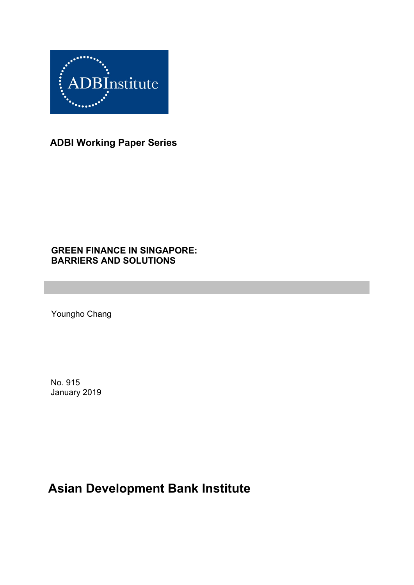

**ADBI Working Paper Series**

#### **GREEN FINANCE IN SINGAPORE: BARRIERS AND SOLUTIONS**

Youngho Chang

No. 915 January 2019

# **Asian Development Bank Institute**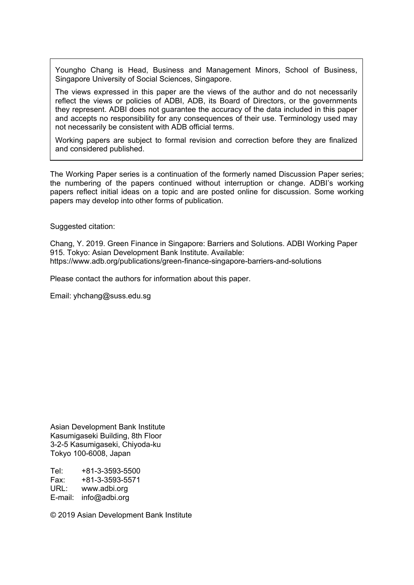Youngho Chang is Head, Business and Management Minors, School of Business, Singapore University of Social Sciences, Singapore.

The views expressed in this paper are the views of the author and do not necessarily reflect the views or policies of ADBI, ADB, its Board of Directors, or the governments they represent. ADBI does not guarantee the accuracy of the data included in this paper and accepts no responsibility for any consequences of their use. Terminology used may not necessarily be consistent with ADB official terms.

Working papers are subject to formal revision and correction before they are finalized and considered published.

The Working Paper series is a continuation of the formerly named Discussion Paper series; the numbering of the papers continued without interruption or change. ADBI's working papers reflect initial ideas on a topic and are posted online for discussion. Some working papers may develop into other forms of publication.

Suggested citation:

Chang, Y. 2019. Green Finance in Singapore: Barriers and Solutions. ADBI Working Paper 915. Tokyo: Asian Development Bank Institute. Available: https://www.adb.org/publications/green-finance-singapore-barriers-and-solutions

Please contact the authors for information about this paper.

Email: yhchang@suss.edu.sg

Asian Development Bank Institute Kasumigaseki Building, 8th Floor 3-2-5 Kasumigaseki, Chiyoda-ku Tokyo 100-6008, Japan

Tel: +81-3-3593-5500 Fax: +81-3-3593-5571 URL: www.adbi.org E-mail: info@adbi.org

© 2019 Asian Development Bank Institute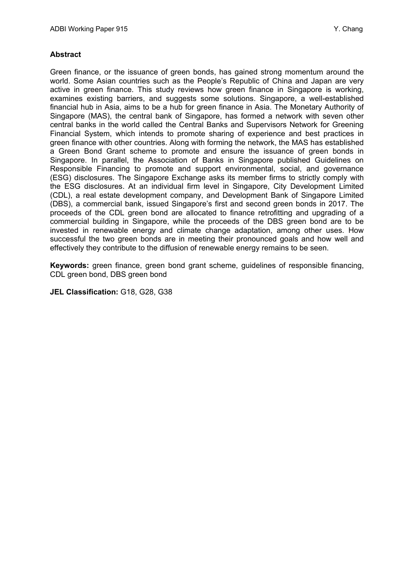#### **Abstract**

Green finance, or the issuance of green bonds, has gained strong momentum around the world. Some Asian countries such as the People's Republic of China and Japan are very active in green finance. This study reviews how green finance in Singapore is working, examines existing barriers, and suggests some solutions. Singapore, a well-established financial hub in Asia, aims to be a hub for green finance in Asia. The Monetary Authority of Singapore (MAS), the central bank of Singapore, has formed a network with seven other central banks in the world called the Central Banks and Supervisors Network for Greening Financial System, which intends to promote sharing of experience and best practices in green finance with other countries. Along with forming the network, the MAS has established a Green Bond Grant scheme to promote and ensure the issuance of green bonds in Singapore. In parallel, the Association of Banks in Singapore published Guidelines on Responsible Financing to promote and support environmental, social, and governance (ESG) disclosures. The Singapore Exchange asks its member firms to strictly comply with the ESG disclosures. At an individual firm level in Singapore, City Development Limited (CDL), a real estate development company, and Development Bank of Singapore Limited (DBS), a commercial bank, issued Singapore's first and second green bonds in 2017. The proceeds of the CDL green bond are allocated to finance retrofitting and upgrading of a commercial building in Singapore, while the proceeds of the DBS green bond are to be invested in renewable energy and climate change adaptation, among other uses. How successful the two green bonds are in meeting their pronounced goals and how well and effectively they contribute to the diffusion of renewable energy remains to be seen.

**Keywords:** green finance, green bond grant scheme, guidelines of responsible financing, CDL green bond, DBS green bond

**JEL Classification:** G18, G28, G38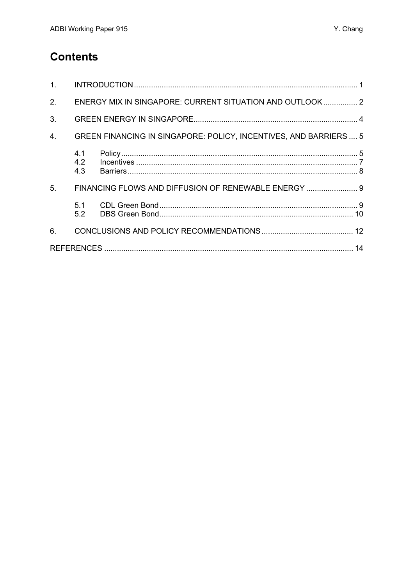## **Contents**

| 1.               |                                                                   |                                                      |  |  |
|------------------|-------------------------------------------------------------------|------------------------------------------------------|--|--|
| 2.               | ENERGY MIX IN SINGAPORE: CURRENT SITUATION AND OUTLOOK 2          |                                                      |  |  |
| 3 <sub>1</sub>   |                                                                   |                                                      |  |  |
| $\overline{4}$ . | GREEN FINANCING IN SINGAPORE: POLICY, INCENTIVES, AND BARRIERS  5 |                                                      |  |  |
|                  | 4.1<br>4.2<br>4.3                                                 |                                                      |  |  |
| 5.               |                                                                   | FINANCING FLOWS AND DIFFUSION OF RENEWABLE ENERGY  9 |  |  |
|                  | 5.1<br>5.2                                                        |                                                      |  |  |
| 6.               |                                                                   |                                                      |  |  |
|                  |                                                                   |                                                      |  |  |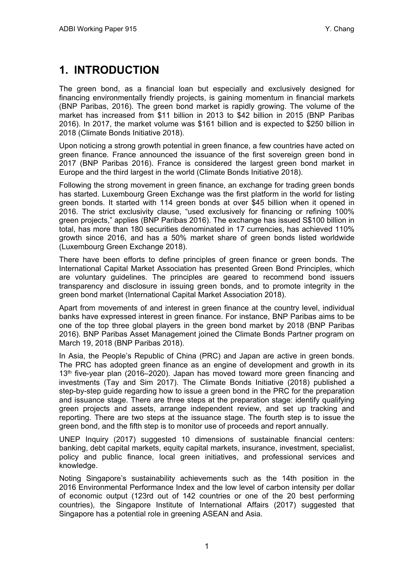# <span id="page-4-0"></span>**1. INTRODUCTION**

The green bond, as a financial loan but especially and exclusively designed for financing environmentally friendly projects, is gaining momentum in financial markets (BNP Paribas, 2016). The green bond market is rapidly growing. The volume of the market has increased from \$11 billion in 2013 to \$42 billion in 2015 (BNP Paribas 2016). In 2017, the market volume was \$161 billion and is expected to \$250 billion in 2018 (Climate Bonds Initiative 2018).

Upon noticing a strong growth potential in green finance, a few countries have acted on green finance. France announced the issuance of the first sovereign green bond in 2017 (BNP Paribas 2016). France is considered the largest green bond market in Europe and the third largest in the world (Climate Bonds Initiative 2018).

Following the strong movement in green finance, an exchange for trading green bonds has started. Luxembourg Green Exchange was the first platform in the world for listing green bonds. It started with 114 green bonds at over \$45 billion when it opened in 2016. The strict exclusivity clause, "used exclusively for financing or refining 100% green projects," applies (BNP Paribas 2016). The exchange has issued S\$100 billion in total, has more than 180 securities denominated in 17 currencies, has achieved 110% growth since 2016, and has a 50% market share of green bonds listed worldwide (Luxembourg Green Exchange 2018).

There have been efforts to define principles of green finance or green bonds. The International Capital Market Association has presented Green Bond Principles, which are voluntary guidelines. The principles are geared to recommend bond issuers transparency and disclosure in issuing green bonds, and to promote integrity in the green bond market (International Capital Market Association 2018).

Apart from movements of and interest in green finance at the country level, individual banks have expressed interest in green finance. For instance, BNP Paribas aims to be one of the top three global players in the green bond market by 2018 (BNP Paribas 2016). BNP Paribas Asset Management joined the Climate Bonds Partner program on March 19, 2018 (BNP Paribas 2018).

In Asia, the People's Republic of China (PRC) and Japan are active in green bonds. The PRC has adopted green finance as an engine of development and growth in its  $13<sup>th</sup>$  five-year plan (2016–2020). Japan has moved toward more green financing and investments (Tay and Sim 2017). The Climate Bonds Initiative (2018) published a step-by-step guide regarding how to issue a green bond in the PRC for the preparation and issuance stage. There are three steps at the preparation stage: identify qualifying green projects and assets, arrange independent review, and set up tracking and reporting. There are two steps at the issuance stage. The fourth step is to issue the green bond, and the fifth step is to monitor use of proceeds and report annually.

UNEP Inquiry (2017) suggested 10 dimensions of sustainable financial centers: banking, debt capital markets, equity capital markets, insurance, investment, specialist, policy and public finance, local green initiatives, and professional services and knowledge.

Noting Singapore's sustainability achievements such as the 14th position in the 2016 Environmental Performance Index and the low level of carbon intensity per dollar of economic output (123rd out of 142 countries or one of the 20 best performing countries), the Singapore Institute of International Affairs (2017) suggested that Singapore has a potential role in greening ASEAN and Asia.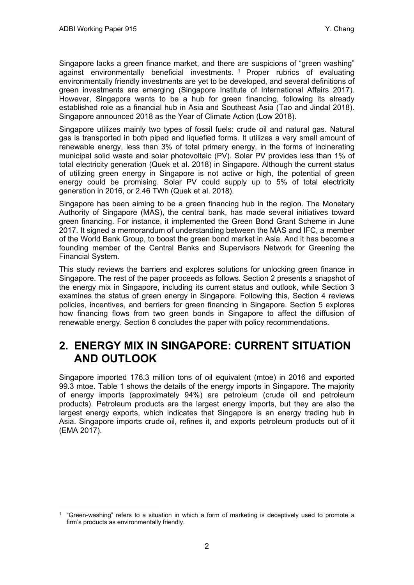Singapore lacks a green finance market, and there are suspicions of "green washing" against environmentally beneficial investments. [1](#page-5-1) Proper rubrics of evaluating environmentally friendly investments are yet to be developed, and several definitions of green investments are emerging (Singapore Institute of International Affairs 2017). However, Singapore wants to be a hub for green financing, following its already established role as a financial hub in Asia and Southeast Asia (Tao and Jindal 2018). Singapore announced 2018 as the Year of Climate Action (Low 2018).

Singapore utilizes mainly two types of fossil fuels: crude oil and natural gas. Natural gas is transported in both piped and liquefied forms. It utilizes a very small amount of renewable energy, less than 3% of total primary energy, in the forms of incinerating municipal solid waste and solar photovoltaic (PV). Solar PV provides less than 1% of total electricity generation (Quek et al. 2018) in Singapore. Although the current status of utilizing green energy in Singapore is not active or high, the potential of green energy could be promising. Solar PV could supply up to 5% of total electricity generation in 2016, or 2.46 TWh (Quek et al. 2018).

Singapore has been aiming to be a green financing hub in the region. The Monetary Authority of Singapore (MAS), the central bank, has made several initiatives toward green financing. For instance, it implemented the Green Bond Grant Scheme in June 2017. It signed a memorandum of understanding between the MAS and IFC, a member of the World Bank Group, to boost the green bond market in Asia. And it has become a founding member of the Central Banks and Supervisors Network for Greening the Financial System.

This study reviews the barriers and explores solutions for unlocking green finance in Singapore. The rest of the paper proceeds as follows. Section 2 presents a snapshot of the energy mix in Singapore, including its current status and outlook, while Section 3 examines the status of green energy in Singapore. Following this, Section 4 reviews policies, incentives, and barriers for green financing in Singapore. Section 5 explores how financing flows from two green bonds in Singapore to affect the diffusion of renewable energy. Section 6 concludes the paper with policy recommendations.

### <span id="page-5-0"></span>**2. ENERGY MIX IN SINGAPORE: CURRENT SITUATION AND OUTLOOK**

Singapore imported 176.3 million tons of oil equivalent (mtoe) in 2016 and exported 99.3 mtoe. Table 1 shows the details of the energy imports in Singapore. The majority of energy imports (approximately 94%) are petroleum (crude oil and petroleum products). Petroleum products are the largest energy imports, but they are also the largest energy exports, which indicates that Singapore is an energy trading hub in Asia. Singapore imports crude oil, refines it, and exports petroleum products out of it (EMA 2017).

<span id="page-5-1"></span> $1$  "Green-washing" refers to a situation in which a form of marketing is deceptively used to promote a firm's products as environmentally friendly.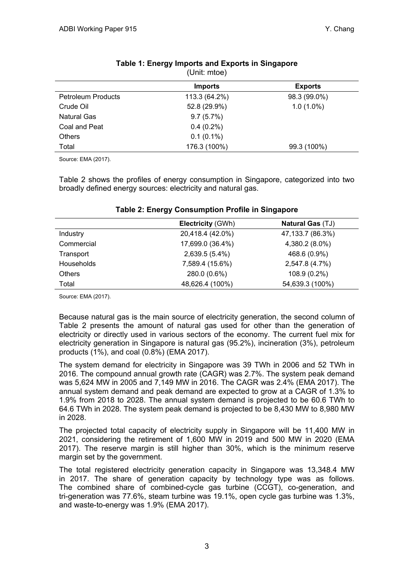|                           | (Unit: mtoe)   |                |
|---------------------------|----------------|----------------|
|                           | <b>Imports</b> | <b>Exports</b> |
| <b>Petroleum Products</b> | 113.3 (64.2%)  | 98.3 (99.0%)   |
| Crude Oil                 | 52.8 (29.9%)   | $1.0(1.0\%)$   |
| <b>Natural Gas</b>        | 9.7(5.7%)      |                |
| Coal and Peat             | $0.4(0.2\%)$   |                |
| <b>Others</b>             | $0.1(0.1\%)$   |                |
| Total                     | 176.3 (100%)   | 99.3 (100%)    |
|                           |                |                |

|  |                                     |  | Table 1: Energy Imports and Exports in Singapore |
|--|-------------------------------------|--|--------------------------------------------------|
|  | $(l \text{Init} \cdot \text{mtoe})$ |  |                                                  |

Source: EMA (2017).

Table 2 shows the profiles of energy consumption in Singapore, categorized into two broadly defined energy sources: electricity and natural gas.

|               | <b>Electricity (GWh)</b> | <b>Natural Gas (TJ)</b> |
|---------------|--------------------------|-------------------------|
| Industry      | 20,418.4 (42.0%)         | 47,133.7 (86.3%)        |
| Commercial    | 17,699.0 (36.4%)         | 4,380.2 (8.0%)          |
| Transport     | 2,639.5 (5.4%)           | 468.6 (0.9%)            |
| Households    | 7,589.4 (15.6%)          | 2,547.8 (4.7%)          |
| <b>Others</b> | 280.0 (0.6%)             | 108.9 (0.2%)            |
| Total         | 48,626.4 (100%)          | 54,639.3 (100%)         |

#### **Table 2: Energy Consumption Profile in Singapore**

Source: EMA (2017).

Because natural gas is the main source of electricity generation, the second column of Table 2 presents the amount of natural gas used for other than the generation of electricity or directly used in various sectors of the economy. The current fuel mix for electricity generation in Singapore is natural gas (95.2%), incineration (3%), petroleum products (1%), and coal (0.8%) (EMA 2017).

The system demand for electricity in Singapore was 39 TWh in 2006 and 52 TWh in 2016. The compound annual growth rate (CAGR) was 2.7%. The system peak demand was 5,624 MW in 2005 and 7,149 MW in 2016. The CAGR was 2.4% (EMA 2017). The annual system demand and peak demand are expected to grow at a CAGR of 1.3% to 1.9% from 2018 to 2028. The annual system demand is projected to be 60.6 TWh to 64.6 TWh in 2028. The system peak demand is projected to be 8,430 MW to 8,980 MW in 2028.

The projected total capacity of electricity supply in Singapore will be 11,400 MW in 2021, considering the retirement of 1,600 MW in 2019 and 500 MW in 2020 (EMA 2017). The reserve margin is still higher than 30%, which is the minimum reserve margin set by the government.

The total registered electricity generation capacity in Singapore was 13,348.4 MW in 2017. The share of generation capacity by technology type was as follows. The combined share of combined-cycle gas turbine (CCGT), co-generation, and tri-generation was 77.6%, steam turbine was 19.1%, open cycle gas turbine was 1.3%, and waste-to-energy was 1.9% (EMA 2017).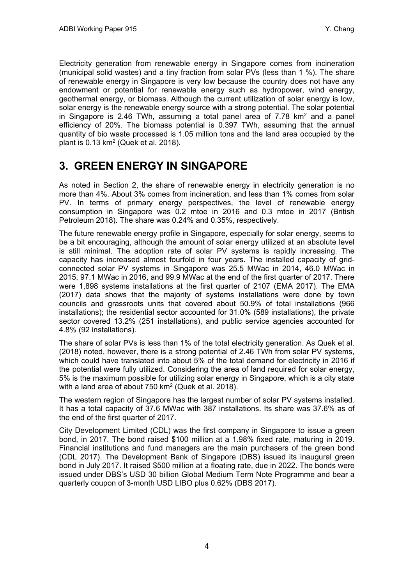Electricity generation from renewable energy in Singapore comes from incineration (municipal solid wastes) and a tiny fraction from solar PVs (less than 1 %). The share of renewable energy in Singapore is very low because the country does not have any endowment or potential for renewable energy such as hydropower, wind energy, geothermal energy, or biomass. Although the current utilization of solar energy is low, solar energy is the renewable energy source with a strong potential. The solar potential in Singapore is 2.46 TWh, assuming a total panel area of  $7.78 \text{ km}^2$  and a panel efficiency of 20%. The biomass potential is 0.397 TWh, assuming that the annual quantity of bio waste processed is 1.05 million tons and the land area occupied by the plant is 0.13 km2 (Quek et al. 2018).

### <span id="page-7-0"></span>**3. GREEN ENERGY IN SINGAPORE**

As noted in Section 2, the share of renewable energy in electricity generation is no more than 4%. About 3% comes from incineration, and less than 1% comes from solar PV. In terms of primary energy perspectives, the level of renewable energy consumption in Singapore was 0.2 mtoe in 2016 and 0.3 mtoe in 2017 (British Petroleum 2018). The share was 0.24% and 0.35%, respectively.

The future renewable energy profile in Singapore, especially for solar energy, seems to be a bit encouraging, although the amount of solar energy utilized at an absolute level is still minimal. The adoption rate of solar PV systems is rapidly increasing. The capacity has increased almost fourfold in four years. The installed capacity of gridconnected solar PV systems in Singapore was 25.5 MWac in 2014, 46.0 MWac in 2015, 97.1 MWac in 2016, and 99.9 MWac at the end of the first quarter of 2017. There were 1,898 systems installations at the first quarter of 2107 (EMA 2017). The EMA (2017) data shows that the majority of systems installations were done by town councils and grassroots units that covered about 50.9% of total installations (966 installations); the residential sector accounted for 31.0% (589 installations), the private sector covered 13.2% (251 installations), and public service agencies accounted for 4.8% (92 installations).

The share of solar PVs is less than 1% of the total electricity generation. As Quek et al. (2018) noted, however, there is a strong potential of 2.46 TWh from solar PV systems, which could have translated into about 5% of the total demand for electricity in 2016 if the potential were fully utilized. Considering the area of land required for solar energy, 5% is the maximum possible for utilizing solar energy in Singapore, which is a city state with a land area of about 750 km2 (Quek et al. 2018).

The western region of Singapore has the largest number of solar PV systems installed. It has a total capacity of 37.6 MWac with 387 installations. Its share was 37.6% as of the end of the first quarter of 2017.

City Development Limited (CDL) was the first company in Singapore to issue a green bond, in 2017. The bond raised \$100 million at a 1.98% fixed rate, maturing in 2019. Financial institutions and fund managers are the main purchasers of the green bond (CDL 2017). The Development Bank of Singapore (DBS) issued its inaugural green bond in July 2017. It raised \$500 million at a floating rate, due in 2022. The bonds were issued under DBS's USD 30 billion Global Medium Term Note Programme and bear a quarterly coupon of 3-month USD LIBO plus 0.62% (DBS 2017).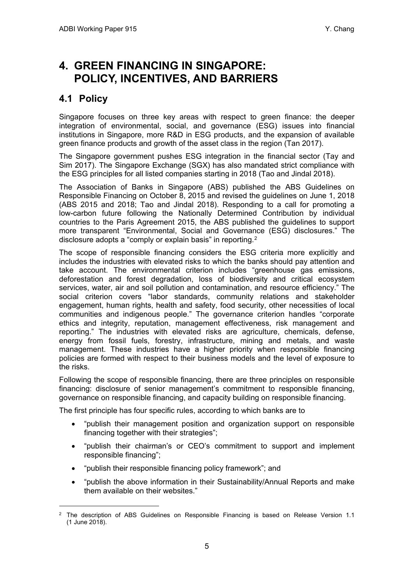## <span id="page-8-0"></span>**4. GREEN FINANCING IN SINGAPORE: POLICY, INCENTIVES, AND BARRIERS**

#### <span id="page-8-1"></span>**4.1 Policy**

Singapore focuses on three key areas with respect to green finance: the deeper integration of environmental, social, and governance (ESG) issues into financial institutions in Singapore, more R&D in ESG products, and the expansion of available green finance products and growth of the asset class in the region (Tan 2017).

The Singapore government pushes ESG integration in the financial sector (Tay and Sim 2017). The Singapore Exchange (SGX) has also mandated strict compliance with the ESG principles for all listed companies starting in 2018 (Tao and Jindal 2018).

The Association of Banks in Singapore (ABS) published the ABS Guidelines on Responsible Financing on October 8, 2015 and revised the guidelines on June 1, 2018 (ABS 2015 and 2018; Tao and Jindal 2018). Responding to a call for promoting a low-carbon future following the Nationally Determined Contribution by individual countries to the Paris Agreement 2015, the ABS published the guidelines to support more transparent "Environmental, Social and Governance (ESG) disclosures." The disclosure adopts a "comply or explain basis" in reporting.<sup>[2](#page-8-2)</sup>

The scope of responsible financing considers the ESG criteria more explicitly and includes the industries with elevated risks to which the banks should pay attention and take account. The environmental criterion includes "greenhouse gas emissions, deforestation and forest degradation, loss of biodiversity and critical ecosystem services, water, air and soil pollution and contamination, and resource efficiency." The social criterion covers "labor standards, community relations and stakeholder engagement, human rights, health and safety, food security, other necessities of local communities and indigenous people." The governance criterion handles "corporate ethics and integrity, reputation, management effectiveness, risk management and reporting." The industries with elevated risks are agriculture, chemicals, defense, energy from fossil fuels, forestry, infrastructure, mining and metals, and waste management. These industries have a higher priority when responsible financing policies are formed with respect to their business models and the level of exposure to the risks.

Following the scope of responsible financing, there are three principles on responsible financing: disclosure of senior management's commitment to responsible financing, governance on responsible financing, and capacity building on responsible financing.

The first principle has four specific rules, according to which banks are to

- "publish their management position and organization support on responsible financing together with their strategies";
- "publish their chairman's or CEO's commitment to support and implement responsible financing";
- "publish their responsible financing policy framework"; and
- "publish the above information in their Sustainability/Annual Reports and make them available on their websites."

<span id="page-8-2"></span> $2$  The description of ABS Guidelines on Responsible Financing is based on Release Version 1.1 (1 June 2018).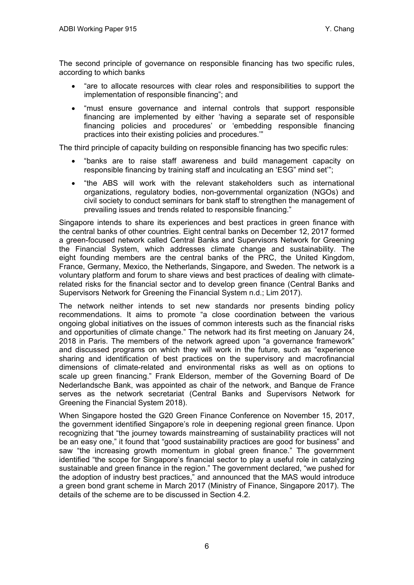The second principle of governance on responsible financing has two specific rules, according to which banks

- "are to allocate resources with clear roles and responsibilities to support the implementation of responsible financing"; and
- "must ensure governance and internal controls that support responsible financing are implemented by either 'having a separate set of responsible financing policies and procedures' or 'embedding responsible financing practices into their existing policies and procedures.'"

The third principle of capacity building on responsible financing has two specific rules:

- "banks are to raise staff awareness and build management capacity on responsible financing by training staff and inculcating an 'ESG" mind set'";
- "the ABS will work with the relevant stakeholders such as international organizations, regulatory bodies, non-governmental organization (NGOs) and civil society to conduct seminars for bank staff to strengthen the management of prevailing issues and trends related to responsible financing."

Singapore intends to share its experiences and best practices in green finance with the central banks of other countries. Eight central banks on December 12, 2017 formed a green-focused network called Central Banks and Supervisors Network for Greening the Financial System, which addresses climate change and sustainability. The eight founding members are the central banks of the PRC, the United Kingdom, France, Germany, Mexico, the Netherlands, Singapore, and Sweden. The network is a voluntary platform and forum to share views and best practices of dealing with climaterelated risks for the financial sector and to develop green finance (Central Banks and Supervisors Network for Greening the Financial System n.d.; Lim 2017).

The network neither intends to set new standards nor presents binding policy recommendations. It aims to promote "a close coordination between the various ongoing global initiatives on the issues of common interests such as the financial risks and opportunities of climate change." The network had its first meeting on January 24, 2018 in Paris. The members of the network agreed upon "a governance framework" and discussed programs on which they will work in the future, such as "experience sharing and identification of best practices on the supervisory and macrofinancial dimensions of climate-related and environmental risks as well as on options to scale up green financing." Frank Elderson, member of the Governing Board of De Nederlandsche Bank, was appointed as chair of the network, and Banque de France serves as the network secretariat (Central Banks and Supervisors Network for Greening the Financial System 2018).

When Singapore hosted the G20 Green Finance Conference on November 15, 2017, the government identified Singapore's role in deepening regional green finance. Upon recognizing that "the journey towards mainstreaming of sustainability practices will not be an easy one," it found that "good sustainability practices are good for business" and saw "the increasing growth momentum in global green finance." The government identified "the scope for Singapore's financial sector to play a useful role in catalyzing sustainable and green finance in the region." The government declared, "we pushed for the adoption of industry best practices," and announced that the MAS would introduce a green bond grant scheme in March 2017 (Ministry of Finance, Singapore 2017). The details of the scheme are to be discussed in Section 4.2.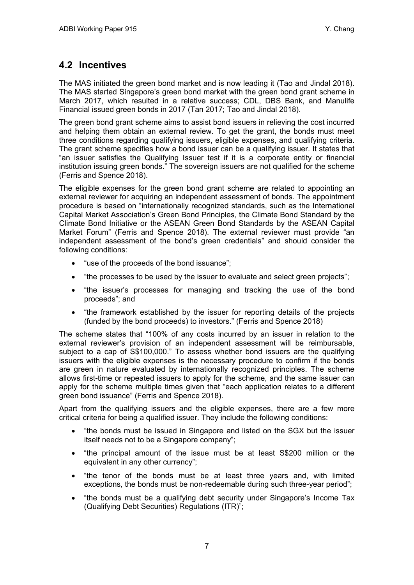#### <span id="page-10-0"></span>**4.2 Incentives**

The MAS initiated the green bond market and is now leading it (Tao and Jindal 2018). The MAS started Singapore's green bond market with the green bond grant scheme in March 2017, which resulted in a relative success; CDL, DBS Bank, and Manulife Financial issued green bonds in 2017 (Tan 2017; Tao and Jindal 2018).

The green bond grant scheme aims to assist bond issuers in relieving the cost incurred and helping them obtain an external review. To get the grant, the bonds must meet three conditions regarding qualifying issuers, eligible expenses, and qualifying criteria. The grant scheme specifies how a bond issuer can be a qualifying issuer. It states that "an issuer satisfies the Qualifying Issuer test if it is a corporate entity or financial institution issuing green bonds." The sovereign issuers are not qualified for the scheme (Ferris and Spence 2018).

The eligible expenses for the green bond grant scheme are related to appointing an external reviewer for acquiring an independent assessment of bonds. The appointment procedure is based on "internationally recognized standards, such as the International Capital Market Association's Green Bond Principles, the Climate Bond Standard by the Climate Bond Initiative or the ASEAN Green Bond Standards by the ASEAN Capital Market Forum" (Ferris and Spence 2018). The external reviewer must provide "an independent assessment of the bond's green credentials" and should consider the following conditions:

- "use of the proceeds of the bond issuance";
- "the processes to be used by the issuer to evaluate and select green projects";
- "the issuer's processes for managing and tracking the use of the bond proceeds"; and
- "the framework established by the issuer for reporting details of the projects (funded by the bond proceeds) to investors." (Ferris and Spence 2018)

The scheme states that "100% of any costs incurred by an issuer in relation to the external reviewer's provision of an independent assessment will be reimbursable, subject to a cap of S\$100,000." To assess whether bond issuers are the qualifying issuers with the eligible expenses is the necessary procedure to confirm if the bonds are green in nature evaluated by internationally recognized principles. The scheme allows first-time or repeated issuers to apply for the scheme, and the same issuer can apply for the scheme multiple times given that "each application relates to a different green bond issuance" (Ferris and Spence 2018).

Apart from the qualifying issuers and the eligible expenses, there are a few more critical criteria for being a qualified issuer. They include the following conditions:

- "the bonds must be issued in Singapore and listed on the SGX but the issuer itself needs not to be a Singapore company";
- "the principal amount of the issue must be at least S\$200 million or the equivalent in any other currency";
- "the tenor of the bonds must be at least three years and, with limited exceptions, the bonds must be non-redeemable during such three-year period";
- "the bonds must be a qualifying debt security under Singapore's Income Tax (Qualifying Debt Securities) Regulations (ITR)";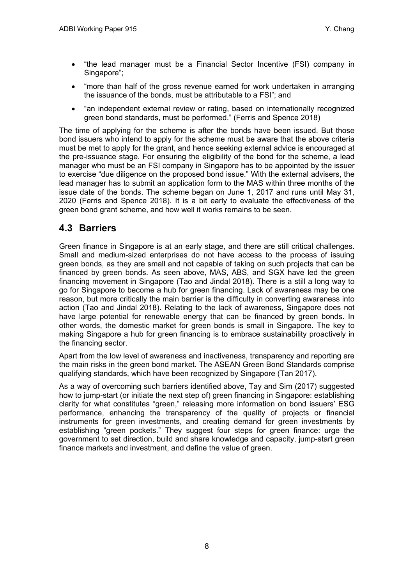- "the lead manager must be a Financial Sector Incentive (FSI) company in Singapore";
- "more than half of the gross revenue earned for work undertaken in arranging the issuance of the bonds, must be attributable to a FSI"; and
- "an independent external review or rating, based on internationally recognized green bond standards, must be performed." (Ferris and Spence 2018)

The time of applying for the scheme is after the bonds have been issued. But those bond issuers who intend to apply for the scheme must be aware that the above criteria must be met to apply for the grant, and hence seeking external advice is encouraged at the pre-issuance stage. For ensuring the eligibility of the bond for the scheme, a lead manager who must be an FSI company in Singapore has to be appointed by the issuer to exercise "due diligence on the proposed bond issue." With the external advisers, the lead manager has to submit an application form to the MAS within three months of the issue date of the bonds. The scheme began on June 1, 2017 and runs until May 31, 2020 (Ferris and Spence 2018). It is a bit early to evaluate the effectiveness of the green bond grant scheme, and how well it works remains to be seen.

#### <span id="page-11-0"></span>**4.3 Barriers**

Green finance in Singapore is at an early stage, and there are still critical challenges. Small and medium-sized enterprises do not have access to the process of issuing green bonds, as they are small and not capable of taking on such projects that can be financed by green bonds. As seen above, MAS, ABS, and SGX have led the green financing movement in Singapore (Tao and Jindal 2018). There is a still a long way to go for Singapore to become a hub for green financing. Lack of awareness may be one reason, but more critically the main barrier is the difficulty in converting awareness into action (Tao and Jindal 2018). Relating to the lack of awareness, Singapore does not have large potential for renewable energy that can be financed by green bonds. In other words, the domestic market for green bonds is small in Singapore. The key to making Singapore a hub for green financing is to embrace sustainability proactively in the financing sector.

Apart from the low level of awareness and inactiveness, transparency and reporting are the main risks in the green bond market. The ASEAN Green Bond Standards comprise qualifying standards, which have been recognized by Singapore (Tan 2017).

As a way of overcoming such barriers identified above, Tay and Sim (2017) suggested how to jump-start (or initiate the next step of) green financing in Singapore: establishing clarity for what constitutes "green," releasing more information on bond issuers' ESG performance, enhancing the transparency of the quality of projects or financial instruments for green investments, and creating demand for green investments by establishing "green pockets." They suggest four steps for green finance: urge the government to set direction, build and share knowledge and capacity, jump-start green finance markets and investment, and define the value of green.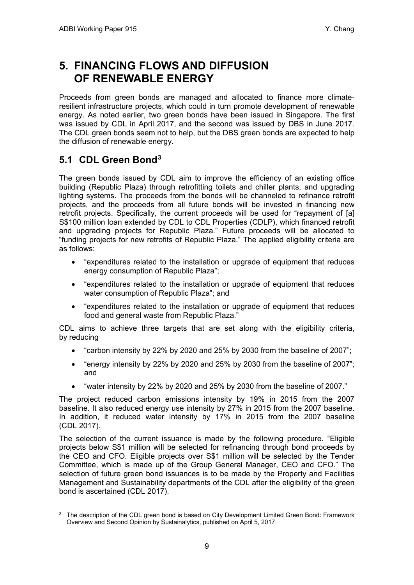## <span id="page-12-0"></span>**5. FINANCING FLOWS AND DIFFUSION OF RENEWABLE ENERGY**

Proceeds from green bonds are managed and allocated to finance more climateresilient infrastructure projects, which could in turn promote development of renewable energy. As noted earlier, two green bonds have been issued in Singapore. The first was issued by CDL in April 2017, and the second was issued by DBS in June 2017. The CDL green bonds seem not to help, but the DBS green bonds are expected to help the diffusion of renewable energy.

### <span id="page-12-1"></span>**5.1 CDL Green Bond[3](#page-12-2)**

The green bonds issued by CDL aim to improve the efficiency of an existing office building (Republic Plaza) through retrofitting toilets and chiller plants, and upgrading lighting systems. The proceeds from the bonds will be channeled to refinance retrofit projects, and the proceeds from all future bonds will be invested in financing new retrofit projects. Specifically, the current proceeds will be used for "repayment of [a] S\$100 million loan extended by CDL to CDL Properties (CDLP), which financed retrofit and upgrading projects for Republic Plaza." Future proceeds will be allocated to "funding projects for new retrofits of Republic Plaza." The applied eligibility criteria are as follows:

- "expenditures related to the installation or upgrade of equipment that reduces energy consumption of Republic Plaza";
- "expenditures related to the installation or upgrade of equipment that reduces water consumption of Republic Plaza"; and
- "expenditures related to the installation or upgrade of equipment that reduces food and general waste from Republic Plaza."

CDL aims to achieve three targets that are set along with the eligibility criteria, by reducing

- "carbon intensity by 22% by 2020 and 25% by 2030 from the baseline of 2007";
- "energy intensity by 22% by 2020 and 25% by 2030 from the baseline of 2007"; and
- "water intensity by 22% by 2020 and 25% by 2030 from the baseline of 2007."

The project reduced carbon emissions intensity by 19% in 2015 from the 2007 baseline. It also reduced energy use intensity by 27% in 2015 from the 2007 baseline. In addition, it reduced water intensity by 17% in 2015 from the 2007 baseline (CDL 2017).

The selection of the current issuance is made by the following procedure. "Eligible projects below S\$1 million will be selected for refinancing through bond proceeds by the CEO and CFO. Eligible projects over S\$1 million will be selected by the Tender Committee, which is made up of the Group General Manager, CEO and CFO." The selection of future green bond issuances is to be made by the Property and Facilities Management and Sustainability departments of the CDL after the eligibility of the green bond is ascertained (CDL 2017).

<span id="page-12-2"></span><sup>&</sup>lt;sup>3</sup> The description of the CDL green bond is based on City Development Limited Green Bond: Framework Overview and Second Opinion by Sustainalytics, published on April 5, 2017.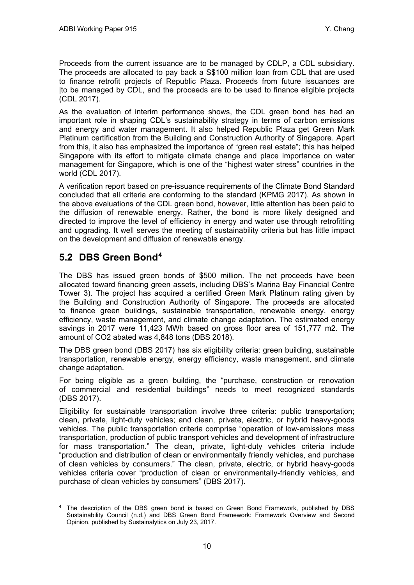Proceeds from the current issuance are to be managed by CDLP, a CDL subsidiary. The proceeds are allocated to pay back a S\$100 million loan from CDL that are used to finance retrofit projects of Republic Plaza. Proceeds from future issuances are |to be managed by CDL, and the proceeds are to be used to finance eligible projects (CDL 2017).

As the evaluation of interim performance shows, the CDL green bond has had an important role in shaping CDL's sustainability strategy in terms of carbon emissions and energy and water management. It also helped Republic Plaza get Green Mark Platinum certification from the Building and Construction Authority of Singapore. Apart from this, it also has emphasized the importance of "green real estate"; this has helped Singapore with its effort to mitigate climate change and place importance on water management for Singapore, which is one of the "highest water stress" countries in the world (CDL 2017).

A verification report based on pre-issuance requirements of the Climate Bond Standard concluded that all criteria are conforming to the standard (KPMG 2017). As shown in the above evaluations of the CDL green bond, however, little attention has been paid to the diffusion of renewable energy. Rather, the bond is more likely designed and directed to improve the level of efficiency in energy and water use through retrofitting and upgrading. It well serves the meeting of sustainability criteria but has little impact on the development and diffusion of renewable energy.

### <span id="page-13-0"></span>**5.2 DBS Green Bond[4](#page-13-1)**

The DBS has issued green bonds of \$500 million. The net proceeds have been allocated toward financing green assets, including DBS's Marina Bay Financial Centre Tower 3). The project has acquired a certified Green Mark Platinum rating given by the Building and Construction Authority of Singapore. The proceeds are allocated to finance green buildings, sustainable transportation, renewable energy, energy efficiency, waste management, and climate change adaptation. The estimated energy savings in 2017 were 11,423 MWh based on gross floor area of 151,777 m2. The amount of CO2 abated was 4,848 tons (DBS 2018).

The DBS green bond (DBS 2017) has six eligibility criteria: green building, sustainable transportation, renewable energy, energy efficiency, waste management, and climate change adaptation.

For being eligible as a green building, the "purchase, construction or renovation of commercial and residential buildings" needs to meet recognized standards (DBS 2017).

Eligibility for sustainable transportation involve three criteria: public transportation; clean, private, light-duty vehicles; and clean, private, electric, or hybrid heavy-goods vehicles. The public transportation criteria comprise "operation of low-emissions mass transportation, production of public transport vehicles and development of infrastructure for mass transportation." The clean, private, light-duty vehicles criteria include "production and distribution of clean or environmentally friendly vehicles, and purchase of clean vehicles by consumers." The clean, private, electric, or hybrid heavy-goods vehicles criteria cover "production of clean or environmentally-friendly vehicles, and purchase of clean vehicles by consumers" (DBS 2017).

<span id="page-13-1"></span> <sup>4</sup> The description of the DBS green bond is based on Green Bond Framework, published by DBS Sustainability Council (n.d.) and DBS Green Bond Framework: Framework Overview and Second Opinion, published by Sustainalytics on July 23, 2017.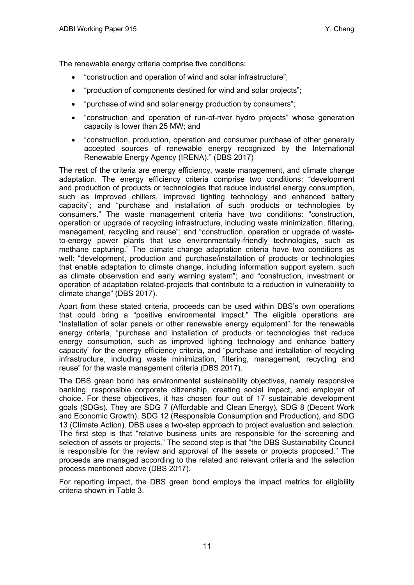The renewable energy criteria comprise five conditions:

- "construction and operation of wind and solar infrastructure";
- "production of components destined for wind and solar projects";
- "purchase of wind and solar energy production by consumers";
- "construction and operation of run-of-river hydro projects" whose generation capacity is lower than 25 MW; and
- "construction, production, operation and consumer purchase of other generally accepted sources of renewable energy recognized by the International Renewable Energy Agency (IRENA)." (DBS 2017)

The rest of the criteria are energy efficiency, waste management, and climate change adaptation. The energy efficiency criteria comprise two conditions: "development and production of products or technologies that reduce industrial energy consumption, such as improved chillers, improved lighting technology and enhanced battery capacity"; and "purchase and installation of such products or technologies by consumers." The waste management criteria have two conditions: "construction, operation or upgrade of recycling infrastructure, including waste minimization, filtering, management, recycling and reuse"; and "construction, operation or upgrade of wasteto-energy power plants that use environmentally-friendly technologies, such as methane capturing." The climate change adaptation criteria have two conditions as well: "development, production and purchase/installation of products or technologies that enable adaptation to climate change, including information support system, such as climate observation and early warning system"; and "construction, investment or operation of adaptation related-projects that contribute to a reduction in vulnerability to climate change" (DBS 2017).

Apart from these stated criteria, proceeds can be used within DBS's own operations that could bring a "positive environmental impact." The eligible operations are "installation of solar panels or other renewable energy equipment" for the renewable energy criteria, "purchase and installation of products or technologies that reduce energy consumption, such as improved lighting technology and enhance battery capacity" for the energy efficiency criteria, and "purchase and installation of recycling infrastructure, including waste minimization, filtering, management, recycling and reuse" for the waste management criteria (DBS 2017).

The DBS green bond has environmental sustainability objectives, namely responsive banking, responsible corporate citizenship, creating social impact, and employer of choice. For these objectives, it has chosen four out of 17 sustainable development goals (SDGs). They are SDG 7 (Affordable and Clean Energy), SDG 8 (Decent Work and Economic Growth), SDG 12 (Responsible Consumption and Production), and SDG 13 (Climate Action). DBS uses a two-step approach to project evaluation and selection. The first step is that "relative business units are responsible for the screening and selection of assets or projects." The second step is that "the DBS Sustainability Council is responsible for the review and approval of the assets or projects proposed." The proceeds are managed according to the related and relevant criteria and the selection process mentioned above (DBS 2017).

For reporting impact, the DBS green bond employs the impact metrics for eligibility criteria shown in Table 3.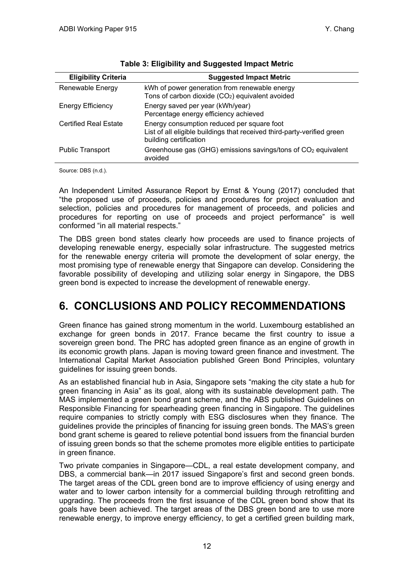| <b>Eligibility Criteria</b>  | <b>Suggested Impact Metric</b>                                                                                                                  |
|------------------------------|-------------------------------------------------------------------------------------------------------------------------------------------------|
| Renewable Energy             | kWh of power generation from renewable energy<br>Tons of carbon dioxide (CO <sub>2</sub> ) equivalent avoided                                   |
| <b>Energy Efficiency</b>     | Energy saved per year (kWh/year)<br>Percentage energy efficiency achieved                                                                       |
| <b>Certified Real Estate</b> | Energy consumption reduced per square foot<br>List of all eligible buildings that received third-party-verified green<br>building certification |
| <b>Public Transport</b>      | Greenhouse gas (GHG) emissions savings/tons of $CO2$ equivalent<br>avoided                                                                      |

|  |  | Table 3: Eligibility and Suggested Impact Metric |  |
|--|--|--------------------------------------------------|--|
|--|--|--------------------------------------------------|--|

Source: DBS (n.d.).

An Independent Limited Assurance Report by Ernst & Young (2017) concluded that "the proposed use of proceeds, policies and procedures for project evaluation and selection, policies and procedures for management of proceeds, and policies and procedures for reporting on use of proceeds and project performance" is well conformed "in all material respects."

The DBS green bond states clearly how proceeds are used to finance projects of developing renewable energy, especially solar infrastructure. The suggested metrics for the renewable energy criteria will promote the development of solar energy, the most promising type of renewable energy that Singapore can develop. Considering the favorable possibility of developing and utilizing solar energy in Singapore, the DBS green bond is expected to increase the development of renewable energy.

## <span id="page-15-0"></span>**6. CONCLUSIONS AND POLICY RECOMMENDATIONS**

Green finance has gained strong momentum in the world. Luxembourg established an exchange for green bonds in 2017. France became the first country to issue a sovereign green bond. The PRC has adopted green finance as an engine of growth in its economic growth plans. Japan is moving toward green finance and investment. The International Capital Market Association published Green Bond Principles, voluntary guidelines for issuing green bonds.

As an established financial hub in Asia, Singapore sets "making the city state a hub for green financing in Asia" as its goal, along with its sustainable development path. The MAS implemented a green bond grant scheme, and the ABS published Guidelines on Responsible Financing for spearheading green financing in Singapore. The guidelines require companies to strictly comply with ESG disclosures when they finance. The guidelines provide the principles of financing for issuing green bonds. The MAS's green bond grant scheme is geared to relieve potential bond issuers from the financial burden of issuing green bonds so that the scheme promotes more eligible entities to participate in green finance.

Two private companies in Singapore—CDL, a real estate development company, and DBS, a commercial bank—in 2017 issued Singapore's first and second green bonds. The target areas of the CDL green bond are to improve efficiency of using energy and water and to lower carbon intensity for a commercial building through retrofitting and upgrading. The proceeds from the first issuance of the CDL green bond show that its goals have been achieved. The target areas of the DBS green bond are to use more renewable energy, to improve energy efficiency, to get a certified green building mark,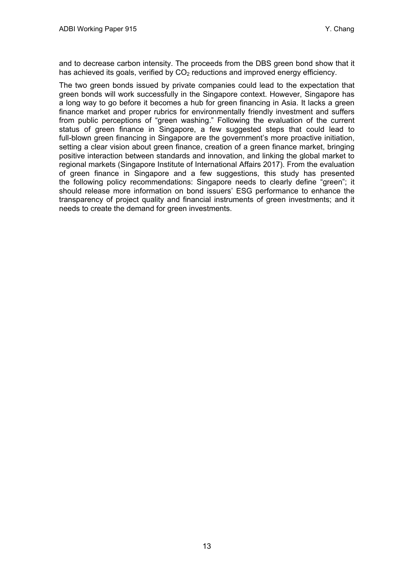and to decrease carbon intensity. The proceeds from the DBS green bond show that it has achieved its goals, verified by  $CO<sub>2</sub>$  reductions and improved energy efficiency.

The two green bonds issued by private companies could lead to the expectation that green bonds will work successfully in the Singapore context. However, Singapore has a long way to go before it becomes a hub for green financing in Asia. It lacks a green finance market and proper rubrics for environmentally friendly investment and suffers from public perceptions of "green washing." Following the evaluation of the current status of green finance in Singapore, a few suggested steps that could lead to full-blown green financing in Singapore are the government's more proactive initiation, setting a clear vision about green finance, creation of a green finance market, bringing positive interaction between standards and innovation, and linking the global market to regional markets (Singapore Institute of International Affairs 2017). From the evaluation of green finance in Singapore and a few suggestions, this study has presented the following policy recommendations: Singapore needs to clearly define "green"; it should release more information on bond issuers' ESG performance to enhance the transparency of project quality and financial instruments of green investments; and it needs to create the demand for green investments.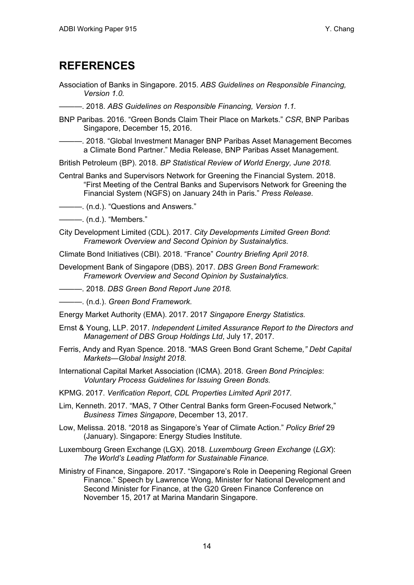### <span id="page-17-0"></span>**REFERENCES**

- Association of Banks in Singapore. 2015. *ABS Guidelines on Responsible Financing, Version 1.0.*
	- ———. 2018. *ABS Guidelines on Responsible Financing, Version 1.1.*
- BNP Paribas. 2016. "Green Bonds Claim Their Place on Markets." *CSR*, BNP Paribas Singapore, December 15, 2016.
- ———. 2018. "Global Investment Manager BNP Paribas Asset Management Becomes a Climate Bond Partner." Media Release, BNP Paribas Asset Management.

British Petroleum (BP). 2018. *BP Statistical Review of World Energy, June 2018.*

- Central Banks and Supervisors Network for Greening the Financial System. 2018. "First Meeting of the Central Banks and Supervisors Network for Greening the Financial System (NGFS) on January 24th in Paris." *Press Release.*
- ———. (n.d.). "Questions and Answers."
- ———. (n.d.). "Members."
- City Development Limited (CDL). 2017. *City Developments Limited Green Bond*: *Framework Overview and Second Opinion by Sustainalytics.*
- Climate Bond Initiatives (CBI). 2018. "France" *Country Briefing April 2018*.
- Development Bank of Singapore (DBS). 2017. *DBS Green Bond Framework*: *Framework Overview and Second Opinion by Sustainalytics.*
- ———. 2018. *DBS Green Bond Report June 2018.*
- ———. (n.d.). *Green Bond Framework.*
- Energy Market Authority (EMA). 2017. 2017 *Singapore Energy Statistics.*
- Ernst & Young, LLP. 2017. *Independent Limited Assurance Report to the Directors and Management of DBS Group Holdings Ltd*, July 17, 2017.
- Ferris, Andy and Ryan Spence. 2018. "MAS Green Bond Grant Scheme*," Debt Capital Markets*—*Global Insight 2018.*
- International Capital Market Association (ICMA). 2018. *Green Bond Principles*: *Voluntary Process Guidelines for Issuing Green Bonds.*
- KPMG. 2017. *Verification Report*, *CDL Properties Limited April 2017.*
- Lim, Kenneth. 2017. "MAS, 7 Other Central Banks form Green-Focused Network," *Business Times Singapore*, December 13, 2017.
- Low, Melissa. 2018. "2018 as Singapore's Year of Climate Action." *Policy Brief* 29 (January). Singapore: Energy Studies Institute.
- Luxembourg Green Exchange (LGX). 2018. *Luxembourg Green Exchange* (*LGX*): *The World's Leading Platform for Sustainable Finance.*
- Ministry of Finance, Singapore. 2017. "Singapore's Role in Deepening Regional Green Finance." Speech by Lawrence Wong, Minister for National Development and Second Minister for Finance, at the G20 Green Finance Conference on November 15, 2017 at Marina Mandarin Singapore.